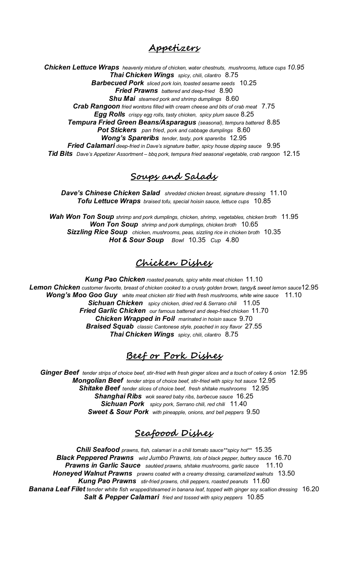#### **Appetizers**

*Chicken Lettuce Wraps heavenly mixture of chicken, water chestnuts, mushrooms, lettuce cups 10.95 Thai Chicken Wings spicy, chili, cilantro* 8.75 *Barbecued Pork sliced pork loin, toasted sesame seeds* 10.25 *Fried Prawns battered and deep-fried* 8.90 *Shu Mai steamed pork and shrimp dumplings* 8.60 *Crab Rangoon fried wontons filled with cream cheese and bits of crab meat* 7.75 *Egg Rolls crispy egg rolls, tasty chicken, spicy plum sauce* 8.25 *Tempura Fried Green Beans/Asparagus (seasonal), tempura battered* 8.85

*Pot Stickers pan fried*, *pork and cabbage dumplings* 8.60 *Wong's Spareribs tender, tasty, pork spareribs* 12.95 *Fried Calamari deep-fried in Dave's signature batter, spicy house dipping sauce* 9.95 *Tid Bits Dave's Appetizer Assortment* – *bbq pork, tempura fried seasonal vegetable, crab rangoon* 12.15

#### **Soups and Salads**

*Dave's Chinese Chicken Salad shredded chicken breast, signature dressing* 11.10 *Tofu Lettuce Wraps braised tofu, special hoisin sauce, lettuce cups* 10.85

*Wah Won Ton Soup shrimp and pork dumplings, chicken, shrimp, vegetables, chicken broth* 11.95 *Won Ton Soup shrimp and pork dumplings, chicken broth* 10.65 *Sizzling Rice Soup chicken, mushrooms, peas, sizzling rice in chicken broth* 10.35 *Hot & Sour Soup Bowl* 10.35 *Cup* 4.80

### **Chicken Dishes**

*Kung Pao Chicken roasted peanuts, spicy white meat chicken* 11.10 *Lemon Chicken customer favorite, breast of chicken cooked to a crusty golden brown, tangy& sweet lemon sauce*12.95 *Wong's Moo Goo Guy white meat chicken stir fried with fresh mushrooms, white wine sauce* 11.10 *Sichuan Chicken spicy chicken, dried red & Serrano chili* 11.05 *Fried Garlic Chicken our famous battered and deep-fried chicken* 11.70 *Chicken Wrapped in Foil marinated in hoisin sauce* 9.70 *Braised Squab classic Cantonese style, poached in soy flavor* 27.55 *Thai Chicken Wings spicy, chili, cilantro* 8.75

#### **Beef or Pork Dishes**

*Ginger Beef tender strips of choice beef, stir-fried with fresh ginger slices and a touch of celery & onion* 12.95 *Mongolian Beef tender strips of choice beef, stir-fried with spicy hot sauce* 12.95 *Shitake Beef tender slices of choice beef, fresh shitake mushrooms* 12.95 *Shanghai Ribs wok seared baby ribs, barbecue sauce* 16.25 *Sichuan Pork spicy pork, Serrano chili, red chili* 11.40 *Sweet & Sour Pork with pineapple, onions, and bell peppers* 9.50

# **Seafoood Dishes**

*Chili Seafood prawns, fish, calamari in a chili tomato sauce\*\*spicy hot\*\** 15.35 *Black Peppered Prawns wild Jumbo Prawns, lots of black pepper, buttery sauce* 16.70 *Prawns in Garlic Sauce sautéed prawns, shitake mushrooms, garlic sauce* 11.10 *Honeyed Walnut Prawns prawns coated with a creamy dressing, caramelized walnuts* 13.50 *Kung Pao Prawns stir-fried prawns, chili peppers, roasted peanuts* 11.60 *Banana Leaf Filet tender white fish wrapped/steamed in banana leaf, topped with ginger soy scallion dressing* 16.20 *Salt & Pepper Calamari fried and tossed with spicy peppers* 10.85